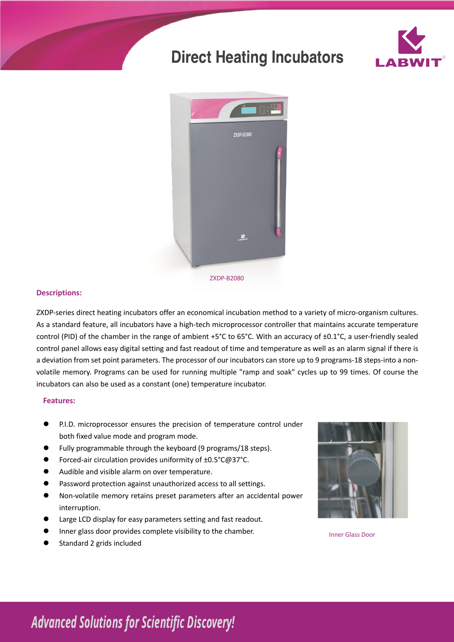# **Direct Heating Incubators**





## **Descriptions:**

ZXDP-series direct heating incubators offer an economical incubation method to a variety of micro-organism cultures. As a standard feature, all incubators have a high-tech microprocessor controller that maintains accurate temperature control (PID) of the chamber in the range of ambient +5°C to 65°C. With an accuracy of ±0.1°C, a user-friendly sealed control panel allows easy digital setting and fast readout of time and temperature as well as an alarm signal if there is a deviation from set point parameters. The processor of our incubators can store up to 9 programs-18 steps-into a nonvolatile memory. Programs can be used for running multiple "ramp and soak" cycles up to 99 times. Of course the incubators can also be used as a constant (one) temperature incubator.

### **Features:**

- P.I.D. microprocessor ensures the precision of temperature control under both fixed value mode and program mode.
- $\bullet$  Fully programmable through the keyboard (9 programs/18 steps).
- Forced-air circulation provides uniformity of ±0.5°C@37°C.
- Audible and visible alarm on over temperature.
- **•** Password protection against unauthorized access to all settings.
- l Non-volatile memory retains preset parameters after an accidental power interruption.
- Large LCD display for easy parameters setting and fast readout.
- l Inner glass door provides complete visibility to the chamber.
- Standard 2 grids included



Inner Glass Door

# **Advanced Solutions for Scientific Discovery!**